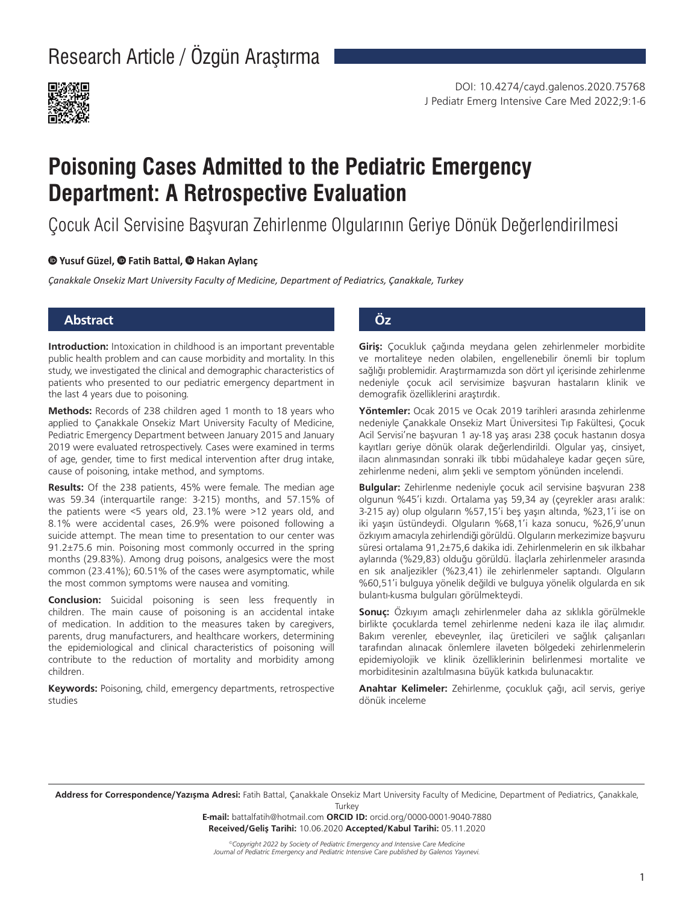

# **Poisoning Cases Admitted to the Pediatric Emergency Department: A Retrospective Evaluation**

Çocuk Acil Servisine Başvuran Zehirlenme Olgularının Geriye Dönük Değerlendirilmesi

#### **Yusuf Güzel, Fatih Battal, Hakan Aylanç**

*Çanakkale Onsekiz Mart University Faculty of Medicine, Department of Pediatrics, Çanakkale, Turkey*

### **Abstract Öz**

**Introduction:** Intoxication in childhood is an important preventable public health problem and can cause morbidity and mortality. In this study, we investigated the clinical and demographic characteristics of patients who presented to our pediatric emergency department in the last 4 years due to poisoning.

**Methods:** Records of 238 children aged 1 month to 18 years who applied to Çanakkale Onsekiz Mart University Faculty of Medicine, Pediatric Emergency Department between January 2015 and January 2019 were evaluated retrospectively. Cases were examined in terms of age, gender, time to first medical intervention after drug intake, cause of poisoning, intake method, and symptoms.

**Results:** Of the 238 patients, 45% were female. The median age was 59.34 (interquartile range: 3-215) months, and 57.15% of the patients were <5 years old, 23.1% were >12 years old, and 8.1% were accidental cases, 26.9% were poisoned following a suicide attempt. The mean time to presentation to our center was 91.2±75.6 min. Poisoning most commonly occurred in the spring months (29.83%). Among drug poisons, analgesics were the most common (23.41%); 60.51% of the cases were asymptomatic, while the most common symptoms were nausea and vomiting.

**Conclusion:** Suicidal poisoning is seen less frequently in children. The main cause of poisoning is an accidental intake of medication. In addition to the measures taken by caregivers, parents, drug manufacturers, and healthcare workers, determining the epidemiological and clinical characteristics of poisoning will contribute to the reduction of mortality and morbidity among children.

**Keywords:** Poisoning, child, emergency departments, retrospective studies

**Giriş:** Çocukluk çağında meydana gelen zehirlenmeler morbidite ve mortaliteye neden olabilen, engellenebilir önemli bir toplum sağlığı problemidir. Araştırmamızda son dört yıl içerisinde zehirlenme nedeniyle çocuk acil servisimize başvuran hastaların klinik ve demografik özelliklerini araştırdık.

**Yöntemler:** Ocak 2015 ve Ocak 2019 tarihleri arasında zehirlenme nedeniyle Çanakkale Onsekiz Mart Üniversitesi Tıp Fakültesi, Çocuk Acil Servisi'ne başvuran 1 ay-18 yaş arası 238 çocuk hastanın dosya kayıtları geriye dönük olarak değerlendirildi. Olgular yaş, cinsiyet, ilacın alınmasından sonraki ilk tıbbi müdahaleye kadar geçen süre, zehirlenme nedeni, alım şekli ve semptom yönünden incelendi.

**Bulgular:** Zehirlenme nedeniyle çocuk acil servisine başvuran 238 olgunun %45'i kızdı. Ortalama yaş 59,34 ay (çeyrekler arası aralık: 3-215 ay) olup olguların %57,15'i beş yaşın altında, %23,1'i ise on iki yaşın üstündeydi. Olguların %68,1'i kaza sonucu, %26,9'unun özkıyım amacıyla zehirlendiği görüldü. Olguların merkezimize başvuru süresi ortalama 91,2±75,6 dakika idi. Zehirlenmelerin en sık ilkbahar aylarında (%29,83) olduğu görüldü. İlaçlarla zehirlenmeler arasında en sık analjezikler (%23,41) ile zehirlenmeler saptandı. Olguların %60,51'i bulguya yönelik değildi ve bulguya yönelik olgularda en sık bulantı-kusma bulguları görülmekteydi.

**Sonuç:** Özkıyım amaçlı zehirlenmeler daha az sıklıkla görülmekle birlikte çocuklarda temel zehirlenme nedeni kaza ile ilaç alımıdır. Bakım verenler, ebeveynler, ilaç üreticileri ve sağlık çalışanları tarafından alınacak önlemlere ilaveten bölgedeki zehirlenmelerin epidemiyolojik ve klinik özelliklerinin belirlenmesi mortalite ve morbiditesinin azaltılmasına büyük katkıda bulunacaktır.

**Anahtar Kelimeler:** Zehirlenme, çocukluk çağı, acil servis, geriye dönük inceleme

**Address for Correspondence/Yazışma Adresi:** Fatih Battal, Çanakkale Onsekiz Mart University Faculty of Medicine, Department of Pediatrics, Çanakkale, **Turkey** 

> **E-mail:** battalfatih@hotmail.com **ORCID ID:** orcid.org/0000-0001-9040-7880 **Received/Geliş Tarihi:** 10.06.2020 **Accepted/Kabul Tarihi:** 05.11.2020

*©Copyright 2022 by Society of Pediatric Emergency and Intensive Care Medicine Journal of Pediatric Emergency and Pediatric Intensive Care published by Galenos Yayınevi.*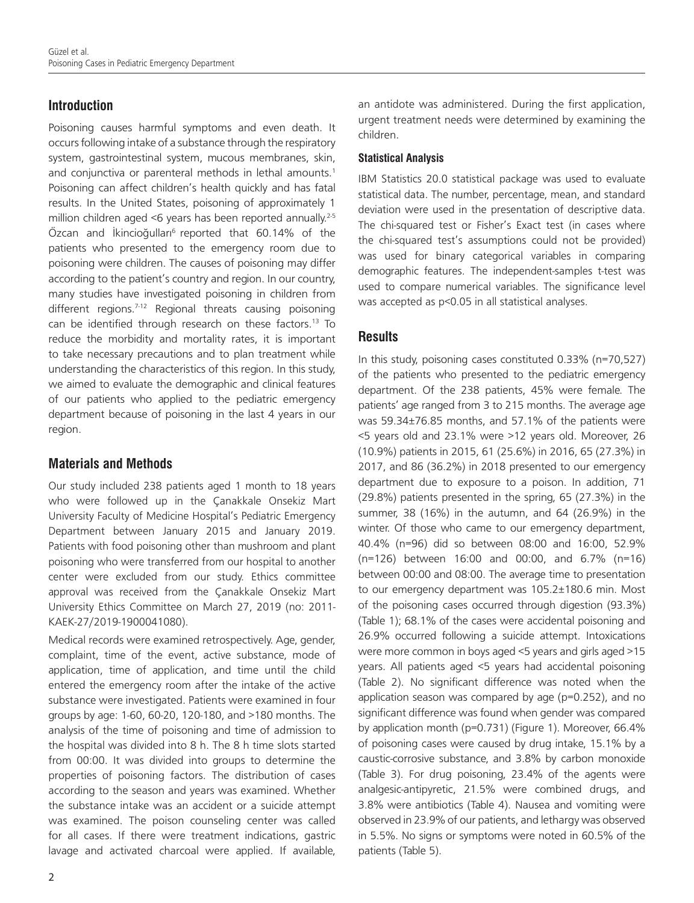# **Introduction**

Poisoning causes harmful symptoms and even death. It occurs following intake of a substance through the respiratory system, gastrointestinal system, mucous membranes, skin, and conjunctiva or parenteral methods in lethal amounts.<sup>1</sup> Poisoning can affect children's health quickly and has fatal results. In the United States, poisoning of approximately 1 million children aged  $\leq 6$  years has been reported annually.<sup>2-5</sup> Özcan and İkincioğulları<sup>6</sup> reported that 60.14% of the patients who presented to the emergency room due to poisoning were children. The causes of poisoning may differ according to the patient's country and region. In our country, many studies have investigated poisoning in children from different regions.<sup>7-12</sup> Regional threats causing poisoning can be identified through research on these factors.<sup>13</sup> To reduce the morbidity and mortality rates, it is important to take necessary precautions and to plan treatment while understanding the characteristics of this region. In this study, we aimed to evaluate the demographic and clinical features of our patients who applied to the pediatric emergency department because of poisoning in the last 4 years in our region.

# **Materials and Methods**

Our study included 238 patients aged 1 month to 18 years who were followed up in the Çanakkale Onsekiz Mart University Faculty of Medicine Hospital's Pediatric Emergency Department between January 2015 and January 2019. Patients with food poisoning other than mushroom and plant poisoning who were transferred from our hospital to another center were excluded from our study. Ethics committee approval was received from the Çanakkale Onsekiz Mart University Ethics Committee on March 27, 2019 (no: 2011- KAEK-27/2019-1900041080).

Medical records were examined retrospectively. Age, gender, complaint, time of the event, active substance, mode of application, time of application, and time until the child entered the emergency room after the intake of the active substance were investigated. Patients were examined in four groups by age: 1-60, 60-20, 120-180, and >180 months. The analysis of the time of poisoning and time of admission to the hospital was divided into 8 h. The 8 h time slots started from 00:00. It was divided into groups to determine the properties of poisoning factors. The distribution of cases according to the season and years was examined. Whether the substance intake was an accident or a suicide attempt was examined. The poison counseling center was called for all cases. If there were treatment indications, gastric lavage and activated charcoal were applied. If available,

an antidote was administered. During the first application, urgent treatment needs were determined by examining the children.

#### **Statistical Analysis**

IBM Statistics 20.0 statistical package was used to evaluate statistical data. The number, percentage, mean, and standard deviation were used in the presentation of descriptive data. The chi-squared test or Fisher's Exact test (in cases where the chi-squared test's assumptions could not be provided) was used for binary categorical variables in comparing demographic features. The independent-samples t-test was used to compare numerical variables. The significance level was accepted as p<0.05 in all statistical analyses.

# **Results**

In this study, poisoning cases constituted 0.33% (n=70,527) of the patients who presented to the pediatric emergency department. Of the 238 patients, 45% were female. The patients' age ranged from 3 to 215 months. The average age was 59.34±76.85 months, and 57.1% of the patients were <5 years old and 23.1% were >12 years old. Moreover, 26 (10.9%) patients in 2015, 61 (25.6%) in 2016, 65 (27.3%) in 2017, and 86 (36.2%) in 2018 presented to our emergency department due to exposure to a poison. In addition, 71 (29.8%) patients presented in the spring, 65 (27.3%) in the summer, 38 (16%) in the autumn, and 64 (26.9%) in the winter. Of those who came to our emergency department, 40.4% (n=96) did so between 08:00 and 16:00, 52.9% (n=126) between 16:00 and 00:00, and 6.7% (n=16) between 00:00 and 08:00. The average time to presentation to our emergency department was 105.2±180.6 min. Most of the poisoning cases occurred through digestion (93.3%) (Table 1); 68.1% of the cases were accidental poisoning and 26.9% occurred following a suicide attempt. Intoxications were more common in boys aged <5 years and girls aged >15 years. All patients aged <5 years had accidental poisoning (Table 2). No significant difference was noted when the application season was compared by age (p=0.252), and no significant difference was found when gender was compared by application month (p=0.731) (Figure 1). Moreover, 66.4% of poisoning cases were caused by drug intake, 15.1% by a caustic-corrosive substance, and 3.8% by carbon monoxide (Table 3). For drug poisoning, 23.4% of the agents were analgesic-antipyretic, 21.5% were combined drugs, and 3.8% were antibiotics (Table 4). Nausea and vomiting were observed in 23.9% of our patients, and lethargy was observed in 5.5%. No signs or symptoms were noted in 60.5% of the patients (Table 5).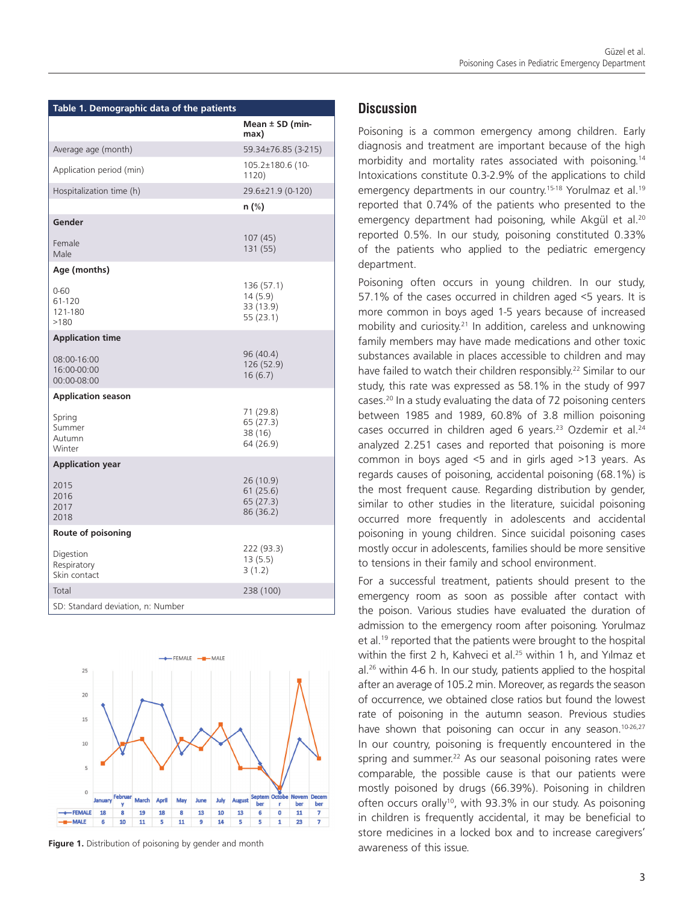| Table 1. Demographic data of the patients |                                                |  |  |  |
|-------------------------------------------|------------------------------------------------|--|--|--|
|                                           | Mean $\pm$ SD (min-<br>max)                    |  |  |  |
| Average age (month)                       | 59.34±76.85 (3-215)                            |  |  |  |
| Application period (min)                  | 105.2±180.6 (10-<br>1120)                      |  |  |  |
| Hospitalization time (h)                  | 29.6±21.9 (0-120)                              |  |  |  |
|                                           | n (%)                                          |  |  |  |
| Gender                                    |                                                |  |  |  |
| Female<br>Male                            | 107(45)<br>131 (55)                            |  |  |  |
| Age (months)                              |                                                |  |  |  |
| $0 - 60$<br>61-120<br>121-180<br>>180     | 136 (57.1)<br>14(5.9)<br>33 (13.9)<br>55(23.1) |  |  |  |
| <b>Application time</b>                   |                                                |  |  |  |
| 08:00-16:00<br>16:00-00:00<br>00:00-08:00 | 96 (40.4)<br>126 (52.9)<br>16(6.7)             |  |  |  |
| <b>Application season</b>                 |                                                |  |  |  |
| Spring<br>Summer<br>Autumn<br>Winter      | 71 (29.8)<br>65 (27.3)<br>38 (16)<br>64 (26.9) |  |  |  |
| <b>Application year</b>                   |                                                |  |  |  |
| 2015<br>2016<br>2017<br>2018              | 26 (10.9)<br>61(25.6)<br>65(27.3)<br>86 (36.2) |  |  |  |
| Route of poisoning                        |                                                |  |  |  |
| Digestion<br>Respiratory<br>Skin contact  | 222 (93.3)<br>13(5.5)<br>3(1.2)                |  |  |  |
| Total                                     | 238 (100)                                      |  |  |  |
| SD: Standard deviation, n: Number         |                                                |  |  |  |



**Figure 1.** Distribution of poisoning by gender and month

### **Discussion**

Poisoning is a common emergency among children. Early diagnosis and treatment are important because of the high morbidity and mortality rates associated with poisoning.<sup>14</sup> Intoxications constitute 0.3-2.9% of the applications to child emergency departments in our country.<sup>15-18</sup> Yorulmaz et al.<sup>19</sup> reported that 0.74% of the patients who presented to the emergency department had poisoning, while Akgül et al.<sup>20</sup> reported 0.5%. In our study, poisoning constituted 0.33% of the patients who applied to the pediatric emergency department.

Poisoning often occurs in young children. In our study, 57.1% of the cases occurred in children aged <5 years. It is more common in boys aged 1-5 years because of increased mobility and curiosity.21 In addition, careless and unknowing family members may have made medications and other toxic substances available in places accessible to children and may have failed to watch their children responsibly.<sup>22</sup> Similar to our study, this rate was expressed as 58.1% in the study of 997 cases.20 In a study evaluating the data of 72 poisoning centers between 1985 and 1989, 60.8% of 3.8 million poisoning cases occurred in children aged 6 years.<sup>23</sup> Ozdemir et al.<sup>24</sup> analyzed 2.251 cases and reported that poisoning is more common in boys aged <5 and in girls aged >13 years. As regards causes of poisoning, accidental poisoning (68.1%) is the most frequent cause. Regarding distribution by gender, similar to other studies in the literature, suicidal poisoning occurred more frequently in adolescents and accidental poisoning in young children. Since suicidal poisoning cases mostly occur in adolescents, families should be more sensitive to tensions in their family and school environment.

For a successful treatment, patients should present to the emergency room as soon as possible after contact with the poison. Various studies have evaluated the duration of admission to the emergency room after poisoning. Yorulmaz et al.<sup>19</sup> reported that the patients were brought to the hospital within the first 2 h, Kahveci et al.<sup>25</sup> within 1 h, and Yılmaz et  $al.<sup>26</sup>$  within 4-6 h. In our study, patients applied to the hospital after an average of 105.2 min. Moreover, as regards the season of occurrence, we obtained close ratios but found the lowest rate of poisoning in the autumn season. Previous studies have shown that poisoning can occur in any season.<sup>10-26,27</sup> In our country, poisoning is frequently encountered in the spring and summer.<sup>22</sup> As our seasonal poisoning rates were comparable, the possible cause is that our patients were mostly poisoned by drugs (66.39%). Poisoning in children often occurs orally<sup>10</sup>, with 93.3% in our study. As poisoning in children is frequently accidental, it may be beneficial to store medicines in a locked box and to increase caregivers' awareness of this issue.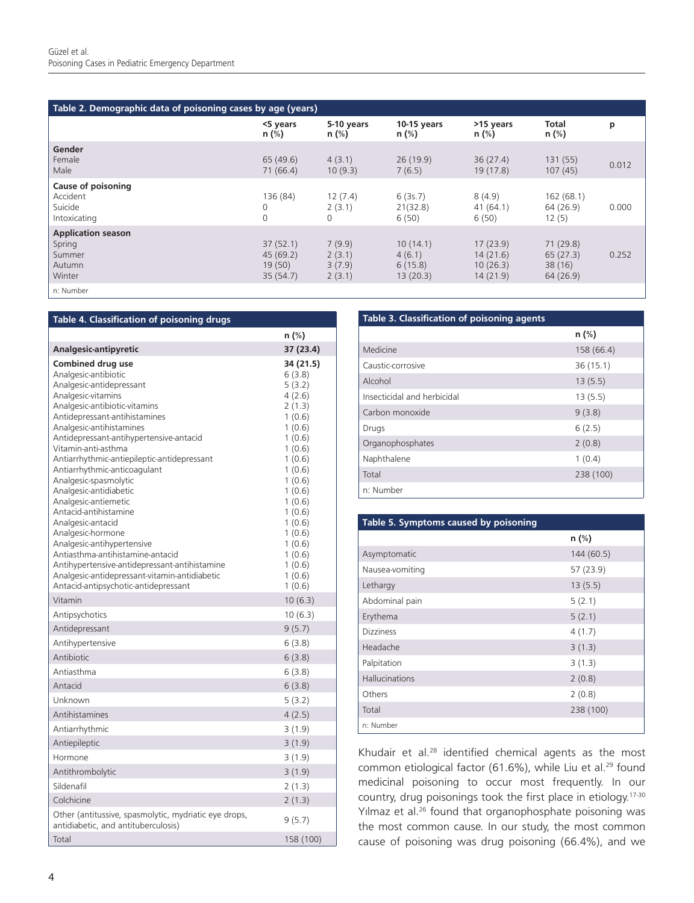| Table 2. Demographic data of poisoning cases by age (years)       |                                            |                                      |                                           |                                              |                                            |       |
|-------------------------------------------------------------------|--------------------------------------------|--------------------------------------|-------------------------------------------|----------------------------------------------|--------------------------------------------|-------|
|                                                                   | <5 years<br>n (%)                          | 5-10 years<br>$n$ (%)                | $10-15$ years<br>$n$ (%)                  | >15 years<br>$n$ (%)                         | Total<br>$n$ (%)                           | p     |
| Gender<br>Female<br>Male                                          | 65(49.6)<br>71(66.4)                       | 4(3.1)<br>10(9.3)                    | 26(19.9)<br>7(6.5)                        | 36(27.4)<br>19(17.8)                         | 131(55)<br>107(45)                         | 0.012 |
| Cause of poisoning<br>Accident<br>Suicide<br>Intoxicating         | 136 (84)<br>0<br>$\Omega$                  | 12(7.4)<br>2(3.1)<br>$\Omega$        | 6(3s.7)<br>21(32.8)<br>6(50)              | 8(4.9)<br>41(64.1)<br>6(50)                  | 162(68.1)<br>64(26.9)<br>12(5)             | 0.000 |
| <b>Application season</b><br>Spring<br>Summer<br>Autumn<br>Winter | 37(52.1)<br>45(69.2)<br>19(50)<br>35(54.7) | 7(9.9)<br>2(3.1)<br>3(7.9)<br>2(3.1) | 10(14.1)<br>4(6.1)<br>6(15.8)<br>13(20.3) | 17(23.9)<br>14(21.6)<br>10(26.3)<br>14(21.9) | 71(29.8)<br>65(27.3)<br>38(16)<br>64(26.9) | 0.252 |
| n: Number                                                         |                                            |                                      |                                           |                                              |                                            |       |

| Table 4. Classification of poisoning drugs                                                                                                                                                                                                                                                                                                                                                                                                                                                                                                                                                                                                                                                                  |                                                                                                                                                                                                                             |
|-------------------------------------------------------------------------------------------------------------------------------------------------------------------------------------------------------------------------------------------------------------------------------------------------------------------------------------------------------------------------------------------------------------------------------------------------------------------------------------------------------------------------------------------------------------------------------------------------------------------------------------------------------------------------------------------------------------|-----------------------------------------------------------------------------------------------------------------------------------------------------------------------------------------------------------------------------|
|                                                                                                                                                                                                                                                                                                                                                                                                                                                                                                                                                                                                                                                                                                             | n (%)                                                                                                                                                                                                                       |
| Analgesic-antipyretic                                                                                                                                                                                                                                                                                                                                                                                                                                                                                                                                                                                                                                                                                       | 37 (23.4)                                                                                                                                                                                                                   |
| <b>Combined drug use</b><br>Analgesic-antibiotic<br>Analgesic-antidepressant<br>Analgesic-vitamins<br>Analgesic-antibiotic-vitamins<br>Antidepressant-antihistamines<br>Analgesic-antihistamines<br>Antidepressant-antihypertensive-antacid<br>Vitamin-anti-asthma<br>Antiarrhythmic-antiepileptic-antidepressant<br>Antiarrhythmic-anticoagulant<br>Analgesic-spasmolytic<br>Analgesic-antidiabetic<br>Analgesic-antiemetic<br>Antacid-antihistamine<br>Analgesic-antacid<br>Analgesic-hormone<br>Analgesic-antihypertensive<br>Antiasthma-antihistamine-antacid<br>Antihypertensive-antidepressant-antihistamine<br>Analgesic-antidepressant-vitamin-antidiabetic<br>Antacid-antipsychotic-antidepressant | 34 (21.5)<br>6(3.8)<br>5(3.2)<br>4(2.6)<br>2(1.3)<br>1(0.6)<br>1(0.6)<br>1(0.6)<br>1(0.6)<br>1(0.6)<br>1(0.6)<br>1(0.6)<br>1(0.6)<br>1(0.6)<br>1(0.6)<br>1(0.6)<br>1(0.6)<br>1(0.6)<br>1(0.6)<br>1(0.6)<br>1(0.6)<br>1(0.6) |
| Vitamin                                                                                                                                                                                                                                                                                                                                                                                                                                                                                                                                                                                                                                                                                                     | 10(6.3)                                                                                                                                                                                                                     |
| Antipsychotics                                                                                                                                                                                                                                                                                                                                                                                                                                                                                                                                                                                                                                                                                              | 10(6.3)                                                                                                                                                                                                                     |
| Antidepressant                                                                                                                                                                                                                                                                                                                                                                                                                                                                                                                                                                                                                                                                                              | 9(5.7)                                                                                                                                                                                                                      |
| Antihypertensive<br>Antibiotic                                                                                                                                                                                                                                                                                                                                                                                                                                                                                                                                                                                                                                                                              | 6(3.8)                                                                                                                                                                                                                      |
| Antiasthma                                                                                                                                                                                                                                                                                                                                                                                                                                                                                                                                                                                                                                                                                                  | 6(3.8)                                                                                                                                                                                                                      |
| Antacid                                                                                                                                                                                                                                                                                                                                                                                                                                                                                                                                                                                                                                                                                                     | 6(3.8)                                                                                                                                                                                                                      |
| Unknown                                                                                                                                                                                                                                                                                                                                                                                                                                                                                                                                                                                                                                                                                                     | 6(3.8)                                                                                                                                                                                                                      |
| Antihistamines                                                                                                                                                                                                                                                                                                                                                                                                                                                                                                                                                                                                                                                                                              | 5(3.2)                                                                                                                                                                                                                      |
|                                                                                                                                                                                                                                                                                                                                                                                                                                                                                                                                                                                                                                                                                                             | 4(2.5)                                                                                                                                                                                                                      |
| Antiarrhythmic                                                                                                                                                                                                                                                                                                                                                                                                                                                                                                                                                                                                                                                                                              | 3(1.9)                                                                                                                                                                                                                      |
| Antiepileptic<br>Hormone                                                                                                                                                                                                                                                                                                                                                                                                                                                                                                                                                                                                                                                                                    | 3(1.9)                                                                                                                                                                                                                      |
|                                                                                                                                                                                                                                                                                                                                                                                                                                                                                                                                                                                                                                                                                                             | 3(1.9)                                                                                                                                                                                                                      |
| Antithrombolytic<br>Sildenafil                                                                                                                                                                                                                                                                                                                                                                                                                                                                                                                                                                                                                                                                              | 3(1.9)                                                                                                                                                                                                                      |
| Colchicine                                                                                                                                                                                                                                                                                                                                                                                                                                                                                                                                                                                                                                                                                                  | 2(1.3)                                                                                                                                                                                                                      |
| Other (antitussive, spasmolytic, mydriatic eye drops,                                                                                                                                                                                                                                                                                                                                                                                                                                                                                                                                                                                                                                                       | 2(1.3)                                                                                                                                                                                                                      |
| antidiabetic, and antituberculosis)                                                                                                                                                                                                                                                                                                                                                                                                                                                                                                                                                                                                                                                                         | 9(5.7)                                                                                                                                                                                                                      |
| Total                                                                                                                                                                                                                                                                                                                                                                                                                                                                                                                                                                                                                                                                                                       | 158 (100)                                                                                                                                                                                                                   |

#### **Table 3. Classification of poisoning agents**

|                             | n (%)      |
|-----------------------------|------------|
| Medicine                    | 158 (66.4) |
| Caustic-corrosive           | 36(15.1)   |
| Alcohol                     | 13(5.5)    |
| Insecticidal and herbicidal | 13(5.5)    |
| Carbon monoxide             | 9(3.8)     |
| Drugs                       | 6(2.5)     |
| Organophosphates            | 2(0.8)     |
| Naphthalene                 | 1(0.4)     |
| Total                       | 238 (100)  |
| n: Number                   |            |

#### **Table 5. Symptoms caused by poisoning**

|                       | n (%)      |
|-----------------------|------------|
| Asymptomatic          | 144 (60.5) |
| Nausea-vomiting       | 57 (23.9)  |
| Lethargy              | 13(5.5)    |
| Abdominal pain        | 5(2.1)     |
| Erythema              | 5(2.1)     |
| <b>Dizziness</b>      | 4(1.7)     |
| Headache              | 3(1.3)     |
| Palpitation           | 3(1.3)     |
| <b>Hallucinations</b> | 2(0.8)     |
| Others                | 2(0.8)     |
| Total                 | 238 (100)  |
| n: Number             |            |

Khudair et al.28 identified chemical agents as the most common etiological factor (61.6%), while Liu et al.<sup>29</sup> found medicinal poisoning to occur most frequently. In our country, drug poisonings took the first place in etiology.<sup>17-30</sup> Yılmaz et al.<sup>26</sup> found that organophosphate poisoning was the most common cause. In our study, the most common cause of poisoning was drug poisoning (66.4%), and we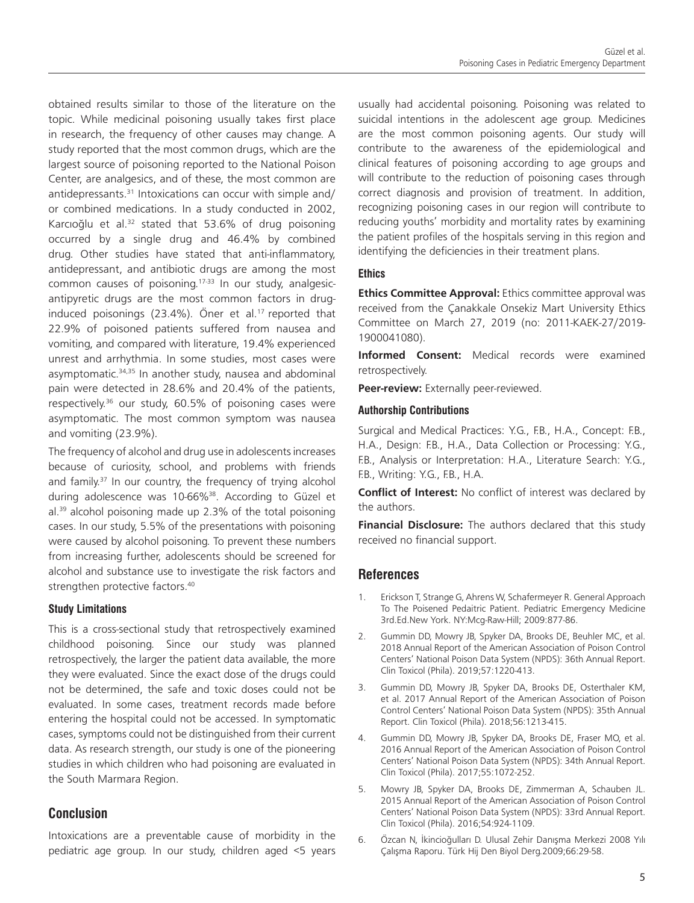obtained results similar to those of the literature on the topic. While medicinal poisoning usually takes first place in research, the frequency of other causes may change. A study reported that the most common drugs, which are the largest source of poisoning reported to the National Poison Center, are analgesics, and of these, the most common are antidepressants.<sup>31</sup> Intoxications can occur with simple and/ or combined medications. In a study conducted in 2002, Karcıoğlu et al.<sup>32</sup> stated that 53.6% of drug poisoning occurred by a single drug and 46.4% by combined drug. Other studies have stated that anti-inflammatory, antidepressant, and antibiotic drugs are among the most common causes of poisoning.17-33 In our study, analgesicantipyretic drugs are the most common factors in druginduced poisonings (23.4%). Öner et al.<sup>17</sup> reported that 22.9% of poisoned patients suffered from nausea and vomiting, and compared with literature, 19.4% experienced unrest and arrhythmia. In some studies, most cases were asymptomatic.<sup>34,35</sup> In another study, nausea and abdominal pain were detected in 28.6% and 20.4% of the patients, respectively.<sup>36</sup> our study, 60.5% of poisoning cases were asymptomatic. The most common symptom was nausea and vomiting (23.9%).

The frequency of alcohol and drug use in adolescents increases because of curiosity, school, and problems with friends and family.<sup>37</sup> In our country, the frequency of trying alcohol during adolescence was 10-66%<sup>38</sup>. According to Güzel et  $al.^{39}$  alcohol poisoning made up 2.3% of the total poisoning cases. In our study, 5.5% of the presentations with poisoning were caused by alcohol poisoning. To prevent these numbers from increasing further, adolescents should be screened for alcohol and substance use to investigate the risk factors and strengthen protective factors.<sup>40</sup>

#### **Study Limitations**

This is a cross-sectional study that retrospectively examined childhood poisoning. Since our study was planned retrospectively, the larger the patient data available, the more they were evaluated. Since the exact dose of the drugs could not be determined, the safe and toxic doses could not be evaluated. In some cases, treatment records made before entering the hospital could not be accessed. In symptomatic cases, symptoms could not be distinguished from their current data. As research strength, our study is one of the pioneering studies in which children who had poisoning are evaluated in the South Marmara Region.

# **Conclusion**

Intoxications are a preventable cause of morbidity in the pediatric age group. In our study, children aged <5 years usually had accidental poisoning. Poisoning was related to suicidal intentions in the adolescent age group. Medicines are the most common poisoning agents. Our study will contribute to the awareness of the epidemiological and clinical features of poisoning according to age groups and will contribute to the reduction of poisoning cases through correct diagnosis and provision of treatment. In addition, recognizing poisoning cases in our region will contribute to reducing youths' morbidity and mortality rates by examining the patient profiles of the hospitals serving in this region and identifying the deficiencies in their treatment plans.

#### **Ethics**

**Ethics Committee Approval:** Ethics committee approval was received from the Çanakkale Onsekiz Mart University Ethics Committee on March 27, 2019 (no: 2011-KAEK-27/2019- 1900041080).

**Informed Consent:** Medical records were examined retrospectively.

**Peer-review:** Externally peer-reviewed.

#### **Authorship Contributions**

Surgical and Medical Practices: Y.G., F.B., H.A., Concept: F.B., H.A., Design: F.B., H.A., Data Collection or Processing: Y.G., F.B., Analysis or Interpretation: H.A., Literature Search: Y.G., F.B., Writing: Y.G., F.B., H.A.

**Conflict of Interest:** No conflict of interest was declared by the authors.

**Financial Disclosure:** The authors declared that this study received no financial support.

# **References**

- 1. Erickson T, Strange G, Ahrens W, Schafermeyer R. General Approach To The Poisened Pedaitric Patient. Pediatric Emergency Medicine 3rd.Ed.New York. NY:Mcg-Raw-Hill; 2009:877-86.
- 2. Gummin DD, Mowry JB, Spyker DA, Brooks DE, Beuhler MC, et al. 2018 Annual Report of the American Association of Poison Control Centers' National Poison Data System (NPDS): 36th Annual Report. Clin Toxicol (Phila). 2019;57:1220-413.
- 3. Gummin DD, Mowry JB, Spyker DA, Brooks DE, Osterthaler KM, et al. 2017 Annual Report of the American Association of Poison Control Centers' National Poison Data System (NPDS): 35th Annual Report. Clin Toxicol (Phila). 2018;56:1213-415.
- 4. Gummin DD, Mowry JB, Spyker DA, Brooks DE, Fraser MO, et al. 2016 Annual Report of the American Association of Poison Control Centers' National Poison Data System (NPDS): 34th Annual Report. Clin Toxicol (Phila). 2017;55:1072-252.
- 5. Mowry JB, Spyker DA, Brooks DE, Zimmerman A, Schauben JL. 2015 Annual Report of the American Association of Poison Control Centers' National Poison Data System (NPDS): 33rd Annual Report. Clin Toxicol (Phila). 2016;54:924-1109.
- Özcan N, İkincioğulları D. Ulusal Zehir Danışma Merkezi 2008 Yılı Çalışma Raporu. Türk Hij Den Biyol Derg.2009;66:29-58.